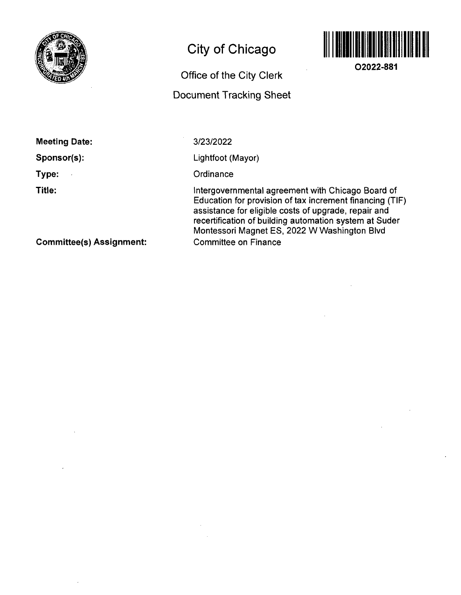

# **City of Chicago**

# **Office of the City Clerk**

# **Document Tracking Sheet**



**O2022-881** 

**Meeting Date:** 

 $\hat{\mathcal{A}}$ 

**Sponsor(s):** 

**Type:** 

**Title:** 

3/23/2022

Lightfoot (Mayor)

**Ordinance** 

Intergovernmental agreement with Chicago Board of Education for provision of fax increment financing (TIF) assistance for eligible costs of upgrade, repair and recertification of building automation system af Sudor Montessori Magnet ES, 2022 W Washington Blvd Committee on Finance

**Committee(s) Assignment:**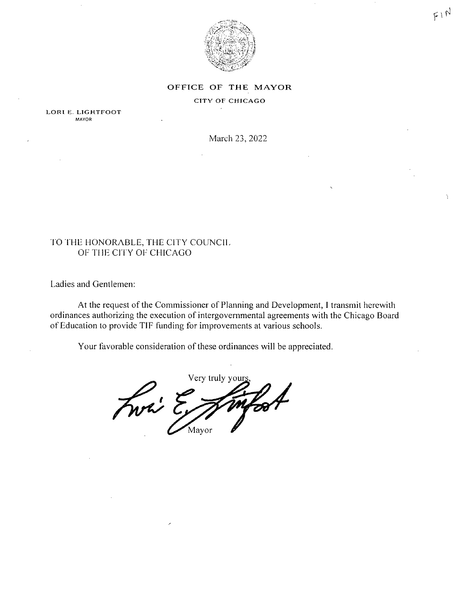

## OFFICE OF THE MAYOR

# CITY OF CHICAGO

LORI E. LIGHTFOOT MAYOR

March 23, 2022

# TO THE HONORABLE, THE CITY COUNCIL OF THE CITY OF CHICAGO

Ladies and Gentlemen:

At the request of the Commissioner of Planning and Development, I transmit herewith ordinances authorizing the execution of intergovernmental agreements with the Chicago Board of Education to provide TIF funding for improvements at various schools.

Your favorable consideration of these ordinances will be appreciated.

Very truly your Front E .<br>Mavor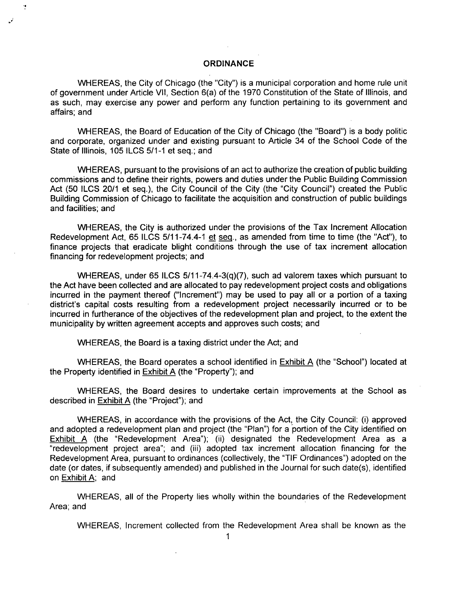## **ORDINANCE**

WHEREAS, the City of Chicago (the "City") is a municipal corporation and home rule unit of government under Article Vll, Section 6(a) of the 1970 Constitution of the State of Illinois, and as such, may exercise any power and perform any function pertaining to its government and affairs; and

WHEREAS, the Board of Education of the City of Chicago (the "Board") is a body politic and corporate, organized under and existing pursuant to Article 34 of the School Code of the State of Illinois, 105 ILCS 5/1-1 et seq.; and

WHEREAS, pursuant to the provisions of an act to authorize the creation of public building commissions and to define their rights, powers and duties under the Public Building Commission Act (50 ILCS 20/1 et seq.), the City Council of the City (the "City Council") created the Public Building Commission of Chicago to facilitate the acquisition and construction of public buildings and facilities; and

WHEREAS, the City is authorized under the provisions of the Tax Increment Allocation Redevelopment Act, 65 ILCS 5/11-74.4-1 et seq., as amended from time to time (the "Act"), to finance projects that eradicate blight conditions through the use of tax increment allocation financing for redevelopment projects; and

WHEREAS, under 65 ILCS 5/11-74.4-3(q)(7), such ad valorem taxes which pursuant to the Act have been collected and are allocated to pay redevelopment project costs and obligations incurred in the payment thereof ("Increment") may be used to pay all or a portion of a taxing district's capital costs resulting from a redevelopment project necessarily incurred or to be incurred in furtherance of the objectives of the redevelopment plan and project, to the extent the municipality by written agreement accepts and approves such costs; and

WHEREAS, the Board is a taxing district under the Act; and

WHEREAS, the Board operates a school identified in Exhibit A (the "School") located at the Property identified in Exhibit A (the "Property"); and

WHEREAS, the Board desires to undertake certain improvements at the School as described in Exhibit A (the "Project"); and

WHEREAS, in accordance with the provisions of the Act, the City Council: (i) approved and adopted a redevelopment plan and project (the "Plan") for a portion of the City identified on Exhibit A (the "Redevelopment Area"); (ii) designated the Redevelopment Area as a "redevelopment project area"; and (iii) adopted tax increment allocation financing for the Redevelopment Area, pursuant to ordinances (collectively, the "TIF Ordinances") adopted on the date (or dates, if subsequently amended) and published in the Journal for such date(s), identified on Exhibit A; and

WHEREAS, all of the Property lies wholly within the boundaries of the Redevelopment Area; and

WHEREAS, Increment collected from the Redevelopment Area shall be known as the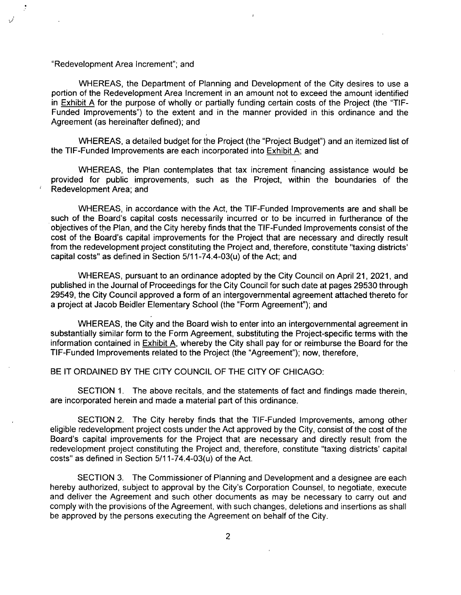#### "Redevelopment Area Increment"; and

 $\epsilon$ 

WHEREAS, the Department of Planning and Development of the City desires to use a portion of the Redevelopment Area Increment in an amount not to exceed the amount identified in Exhibit A for the purpose of wholly or partially funding certain costs of the Project (the "TIF-Funded Improvements") to the extent and in the manner provided in this ordinance and the Agreement (as hereinafter defined); and

WHEREAS, a detailed budget for the Project (the "Project Budget") and an itemized list of the TIF-Funded Improvements are each incorporated into Exhibit A; and

WHEREAS, the Plan contemplates that tax increment financing assistance would be provided for public improvements, such as the Project, within the boundaries of the Redevelopment Area; and

WHEREAS, in accordance with the Act, the TIF-Funded Improvements are and shall be such of the Board's capital costs necessarily incurred or to be incurred in furtherance of the objectives of the Plan, and the City hereby finds that the TIF-Funded Improvements consist of the cost of fhe Board's capital improvements for the Project that are necessary and directly result from the redevelopment project constituting the Project and, therefore, constitute "taxing districts' capital costs" as defined in Section 5/11-74.4-03(u) of the Act; and

WHEREAS, pursuant to an ordinance adopted by the City Council on April 21, 2021, and published in the Journal of Proceedings for the City Council for such date at pages 29530 through 29549, the City Council approved a form of an intergovernmental agreement attached thereto for a project at Jacob Beidler Elementary School (the "Form Agreement"); and

WHEREAS, the City and the Board wish to enter into an intergovernmental agreement in substantially similar form to the Form Agreement, substituting the Project-specific terms with the information contained in Exhibit A, whereby the City shall pay for or reimburse the Board for the TIF-Funded Improvements related to the Project (the "Agreement"); now, therefore,

BE IT ORDAINED BY THE CITY COUNCIL OF THE CITY OF CHICAGO:

SECTION 1. The above recitals, and the statements of fact and findings made therein, are incorporated herein and made a material part of this ordinance.

SECTION 2. The City hereby finds that the TIF-Funded Improvements, among other eligible redevelopment project costs under the Act approved by the City, consist of the cost of the Board's capital improvements for the Project that are necessary and directly result from the redevelopment project constituting the Project and, therefore, constitute "taxing districts' capital costs" as defined in Section  $5/11-74.4-03(u)$  of the Act.

SECTION 3. The Commissioner of Planning and Development and a designee are each hereby authorized, subject to approval by the City's Corporation Counsel, to negotiate, execute and deliver the Agreement and such other documents as may be necessary to carry out and comply with the provisions of the Agreement, with such changes, deletions and insertions as shall be approved by the persons executing the Agreement on behalf of the City.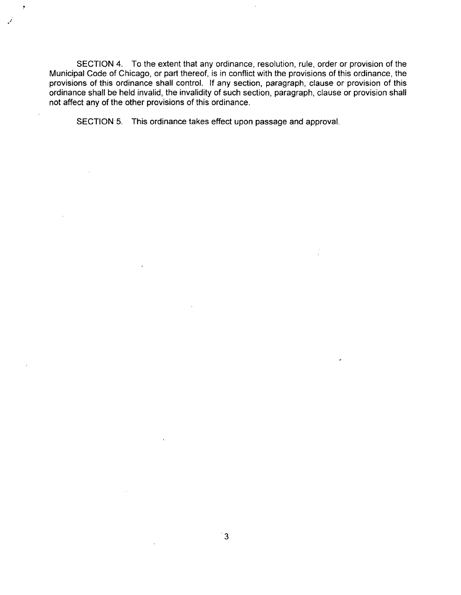SECTION 4. To the extent that any ordinance, resolution, rule, order or provision of the Municipal Code of Chicago, or part thereof, is in conflict with the provisions ofthis ordinance, the provisions of this ordinance shall control. If any section, paragraph, clause or provision of this ordinance shall be held invalid, the invalidity of such section, paragraph, clause or provision shall not affect any of the other provisions of this ordinance.

SECTION 5. This ordinance takes effect upon passage and approval.